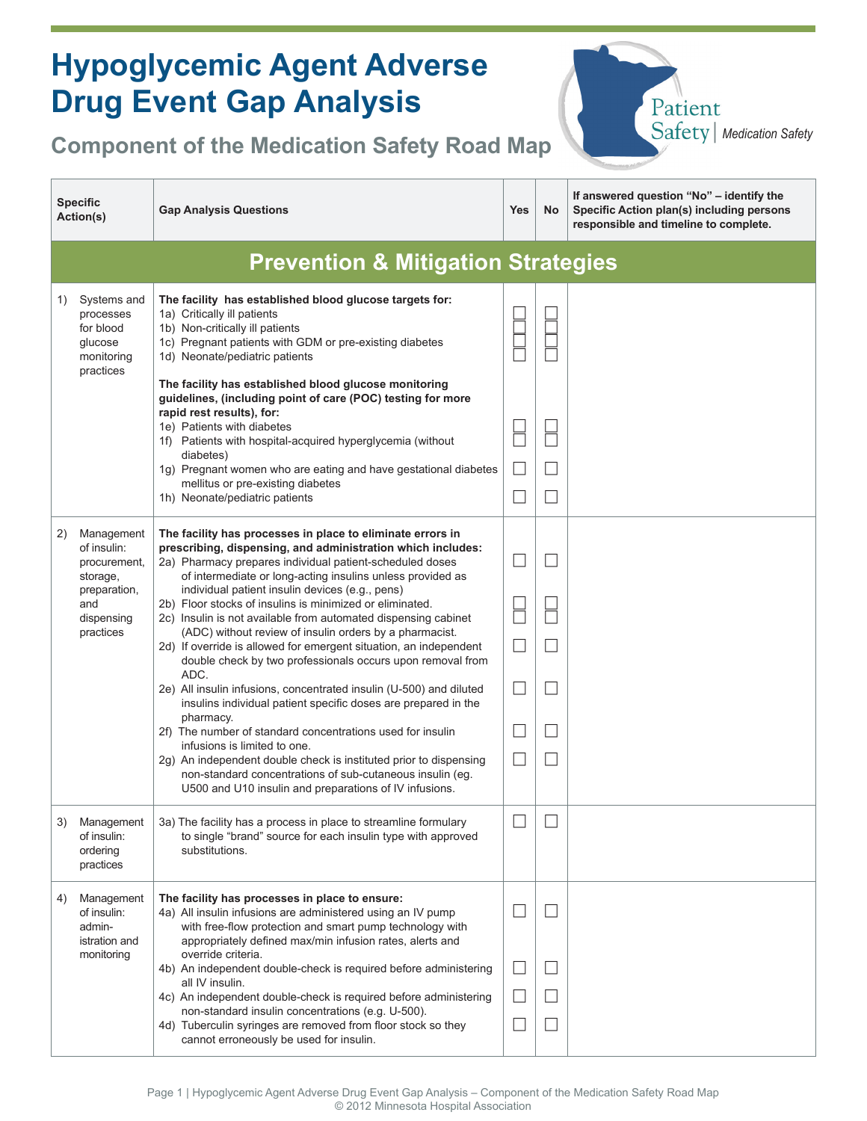| <b>Hypoglycemic Agent Adverse</b><br><b>Drug Event Gap Analysis</b><br>Patient<br>Safety   Medication Safety<br><b>Component of the Medication Safety Road Map</b> |                                                                                                         |                                                                                                                                                                                                                                                                                                                                                                                                                                                                                                                                                                                                                                                                                                                                                                                                                                                                                                                                                                                                                                                                                            |            |                   |                                                                                                                                |
|--------------------------------------------------------------------------------------------------------------------------------------------------------------------|---------------------------------------------------------------------------------------------------------|--------------------------------------------------------------------------------------------------------------------------------------------------------------------------------------------------------------------------------------------------------------------------------------------------------------------------------------------------------------------------------------------------------------------------------------------------------------------------------------------------------------------------------------------------------------------------------------------------------------------------------------------------------------------------------------------------------------------------------------------------------------------------------------------------------------------------------------------------------------------------------------------------------------------------------------------------------------------------------------------------------------------------------------------------------------------------------------------|------------|-------------------|--------------------------------------------------------------------------------------------------------------------------------|
|                                                                                                                                                                    | <b>Specific</b><br>Action(s)                                                                            | <b>Gap Analysis Questions</b>                                                                                                                                                                                                                                                                                                                                                                                                                                                                                                                                                                                                                                                                                                                                                                                                                                                                                                                                                                                                                                                              | <b>Yes</b> | No                | If answered question "No" - identify the<br>Specific Action plan(s) including persons<br>responsible and timeline to complete. |
|                                                                                                                                                                    |                                                                                                         | <b>Prevention &amp; Mitigation Strategies</b>                                                                                                                                                                                                                                                                                                                                                                                                                                                                                                                                                                                                                                                                                                                                                                                                                                                                                                                                                                                                                                              |            |                   |                                                                                                                                |
| 1)                                                                                                                                                                 | Systems and<br>processes<br>for blood<br>glucose<br>monitoring<br>practices                             | The facility has established blood glucose targets for:<br>1a) Critically ill patients<br>1b) Non-critically ill patients<br>1c) Pregnant patients with GDM or pre-existing diabetes<br>1d) Neonate/pediatric patients<br>The facility has established blood glucose monitoring<br>guidelines, (including point of care (POC) testing for more<br>rapid rest results), for:<br>1e) Patients with diabetes<br>1f) Patients with hospital-acquired hyperglycemia (without<br>diabetes)<br>1g) Pregnant women who are eating and have gestational diabetes<br>mellitus or pre-existing diabetes<br>1h) Neonate/pediatric patients                                                                                                                                                                                                                                                                                                                                                                                                                                                             |            | $\Box$<br>$\Box$  |                                                                                                                                |
| 2)                                                                                                                                                                 | Management<br>of insulin:<br>procurement,<br>storage,<br>preparation,<br>and<br>dispensing<br>practices | The facility has processes in place to eliminate errors in<br>prescribing, dispensing, and administration which includes:<br>2a) Pharmacy prepares individual patient-scheduled doses<br>of intermediate or long-acting insulins unless provided as<br>individual patient insulin devices (e.g., pens)<br>2b) Floor stocks of insulins is minimized or eliminated.<br>2c) Insulin is not available from automated dispensing cabinet<br>(ADC) without review of insulin orders by a pharmacist.<br>2d) If override is allowed for emergent situation, an independent<br>double check by two professionals occurs upon removal from<br>ADC.<br>2e) All insulin infusions, concentrated insulin (U-500) and diluted<br>insulins individual patient specific doses are prepared in the<br>pharmacy.<br>2f) The number of standard concentrations used for insulin<br>infusions is limited to one.<br>2g) An independent double check is instituted prior to dispensing<br>non-standard concentrations of sub-cutaneous insulin (eg.<br>U500 and U10 insulin and preparations of IV infusions. |            | $\vert \ \ \vert$ |                                                                                                                                |
| 3)                                                                                                                                                                 | Management<br>of insulin:<br>ordering<br>practices                                                      | 3a) The facility has a process in place to streamline formulary<br>to single "brand" source for each insulin type with approved<br>substitutions.                                                                                                                                                                                                                                                                                                                                                                                                                                                                                                                                                                                                                                                                                                                                                                                                                                                                                                                                          | $\Box$     | $\vert \ \ \vert$ |                                                                                                                                |
| 4)                                                                                                                                                                 | Management<br>of insulin:<br>admin-<br>istration and<br>monitoring                                      | The facility has processes in place to ensure:<br>4a) All insulin infusions are administered using an IV pump<br>with free-flow protection and smart pump technology with<br>appropriately defined max/min infusion rates, alerts and<br>override criteria.<br>4b) An independent double-check is required before administering<br>all IV insulin.<br>4c) An independent double-check is required before administering<br>non-standard insulin concentrations (e.g. U-500).<br>4d) Tuberculin syringes are removed from floor stock so they<br>cannot erroneously be used for insulin.                                                                                                                                                                                                                                                                                                                                                                                                                                                                                                     |            |                   |                                                                                                                                |

 $\overline{\phantom{a}}$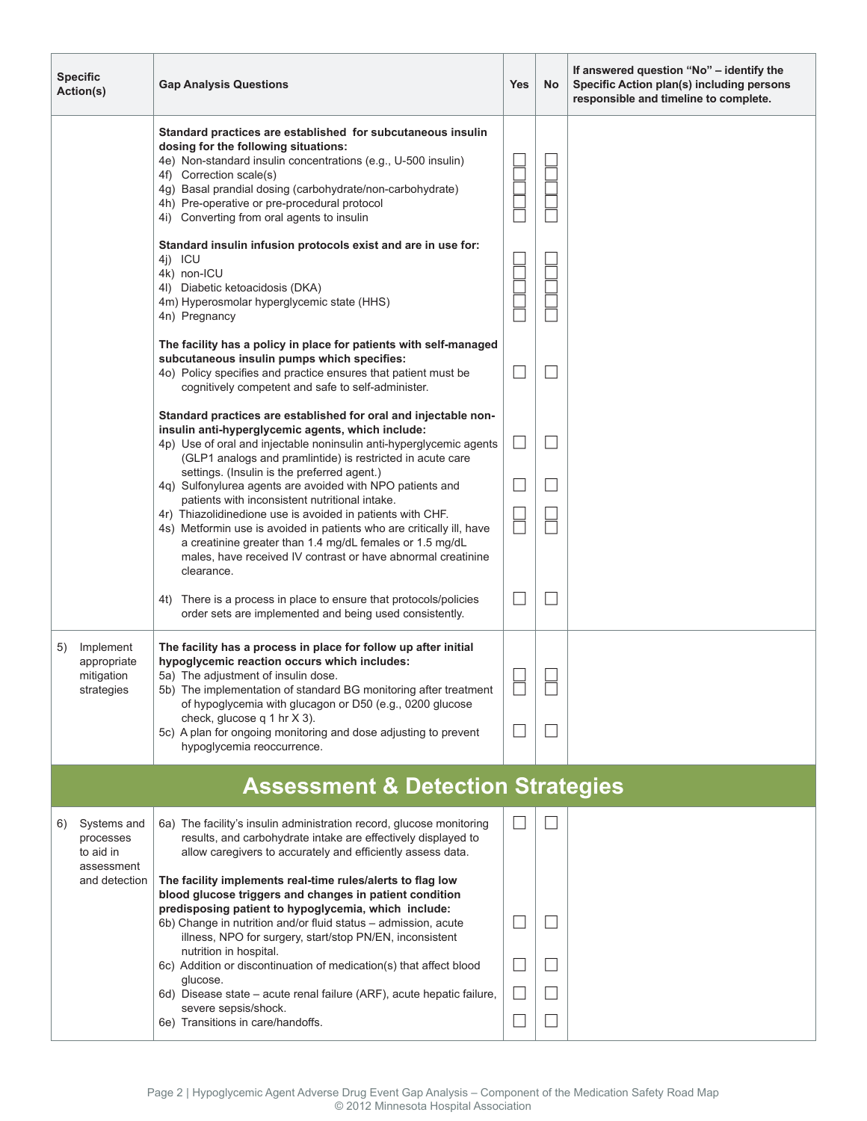|                                              | <b>Specific</b><br>Action(s)                         | <b>Gap Analysis Questions</b>                                                                                                                                                                                                                                                                                                                                                                                                                                                                                                                                                                                                                                                                            | <b>Yes</b>  | No                   | If answered question "No" – identify the<br>Specific Action plan(s) including persons<br>responsible and timeline to complete. |  |
|----------------------------------------------|------------------------------------------------------|----------------------------------------------------------------------------------------------------------------------------------------------------------------------------------------------------------------------------------------------------------------------------------------------------------------------------------------------------------------------------------------------------------------------------------------------------------------------------------------------------------------------------------------------------------------------------------------------------------------------------------------------------------------------------------------------------------|-------------|----------------------|--------------------------------------------------------------------------------------------------------------------------------|--|
|                                              |                                                      | Standard practices are established for subcutaneous insulin<br>dosing for the following situations:<br>4e) Non-standard insulin concentrations (e.g., U-500 insulin)<br>4f) Correction scale(s)<br>4g) Basal prandial dosing (carbohydrate/non-carbohydrate)<br>4h) Pre-operative or pre-procedural protocol<br>4i) Converting from oral agents to insulin                                                                                                                                                                                                                                                                                                                                               |             |                      |                                                                                                                                |  |
|                                              |                                                      | Standard insulin infusion protocols exist and are in use for:<br>4j) ICU<br>4k) non-ICU<br>4I) Diabetic ketoacidosis (DKA)<br>4m) Hyperosmolar hyperglycemic state (HHS)<br>4n) Pregnancy                                                                                                                                                                                                                                                                                                                                                                                                                                                                                                                |             |                      |                                                                                                                                |  |
|                                              |                                                      | The facility has a policy in place for patients with self-managed<br>subcutaneous insulin pumps which specifies:<br>40) Policy specifies and practice ensures that patient must be<br>cognitively competent and safe to self-administer.                                                                                                                                                                                                                                                                                                                                                                                                                                                                 |             |                      |                                                                                                                                |  |
|                                              |                                                      | Standard practices are established for oral and injectable non-<br>insulin anti-hyperglycemic agents, which include:<br>4p) Use of oral and injectable noninsulin anti-hyperglycemic agents<br>(GLP1 analogs and pramlintide) is restricted in acute care<br>settings. (Insulin is the preferred agent.)<br>4q) Sulfonylurea agents are avoided with NPO patients and<br>patients with inconsistent nutritional intake.<br>4r) Thiazolidinedione use is avoided in patients with CHF.<br>4s) Metformin use is avoided in patients who are critically ill, have<br>a creatinine greater than 1.4 mg/dL females or 1.5 mg/dL<br>males, have received IV contrast or have abnormal creatinine<br>clearance. |             |                      |                                                                                                                                |  |
|                                              |                                                      | 4t) There is a process in place to ensure that protocols/policies<br>order sets are implemented and being used consistently.                                                                                                                                                                                                                                                                                                                                                                                                                                                                                                                                                                             |             |                      |                                                                                                                                |  |
| 5)                                           | Implement<br>appropriate<br>mitigation<br>strategies | The facility has a process in place for follow up after initial<br>hypoglycemic reaction occurs which includes:<br>5a) The adjustment of insulin dose.<br>5b) The implementation of standard BG monitoring after treatment<br>of hypoglycemia with glucagon or D50 (e.g., 0200 glucose<br>check, glucose q 1 hr X 3).<br>5c) A plan for ongoing monitoring and dose adjusting to prevent<br>hypoglycemia reoccurrence.                                                                                                                                                                                                                                                                                   | ப<br>$\Box$ | $\qquad \qquad \Box$ |                                                                                                                                |  |
| <b>Assessment &amp; Detection Strategies</b> |                                                      |                                                                                                                                                                                                                                                                                                                                                                                                                                                                                                                                                                                                                                                                                                          |             |                      |                                                                                                                                |  |
| 6)                                           | Systems and<br>processes<br>to aid in<br>assessment  | 6a) The facility's insulin administration record, glucose monitoring<br>results, and carbohydrate intake are effectively displayed to<br>allow caregivers to accurately and efficiently assess data.                                                                                                                                                                                                                                                                                                                                                                                                                                                                                                     |             |                      |                                                                                                                                |  |
|                                              | and detection                                        | The facility implements real-time rules/alerts to flag low<br>blood glucose triggers and changes in patient condition<br>predisposing patient to hypoglycemia, which include:<br>6b) Change in nutrition and/or fluid status - admission, acute<br>illness, NPO for surgery, start/stop PN/EN, inconsistent<br>nutrition in hospital.<br>6c) Addition or discontinuation of medication(s) that affect blood<br>glucose.<br>6d) Disease state – acute renal failure (ARF), acute hepatic failure,<br>severe sepsis/shock.                                                                                                                                                                                 |             |                      |                                                                                                                                |  |
|                                              |                                                      |                                                                                                                                                                                                                                                                                                                                                                                                                                                                                                                                                                                                                                                                                                          |             |                      |                                                                                                                                |  |
|                                              |                                                      | 6e) Transitions in care/handoffs.                                                                                                                                                                                                                                                                                                                                                                                                                                                                                                                                                                                                                                                                        |             |                      |                                                                                                                                |  |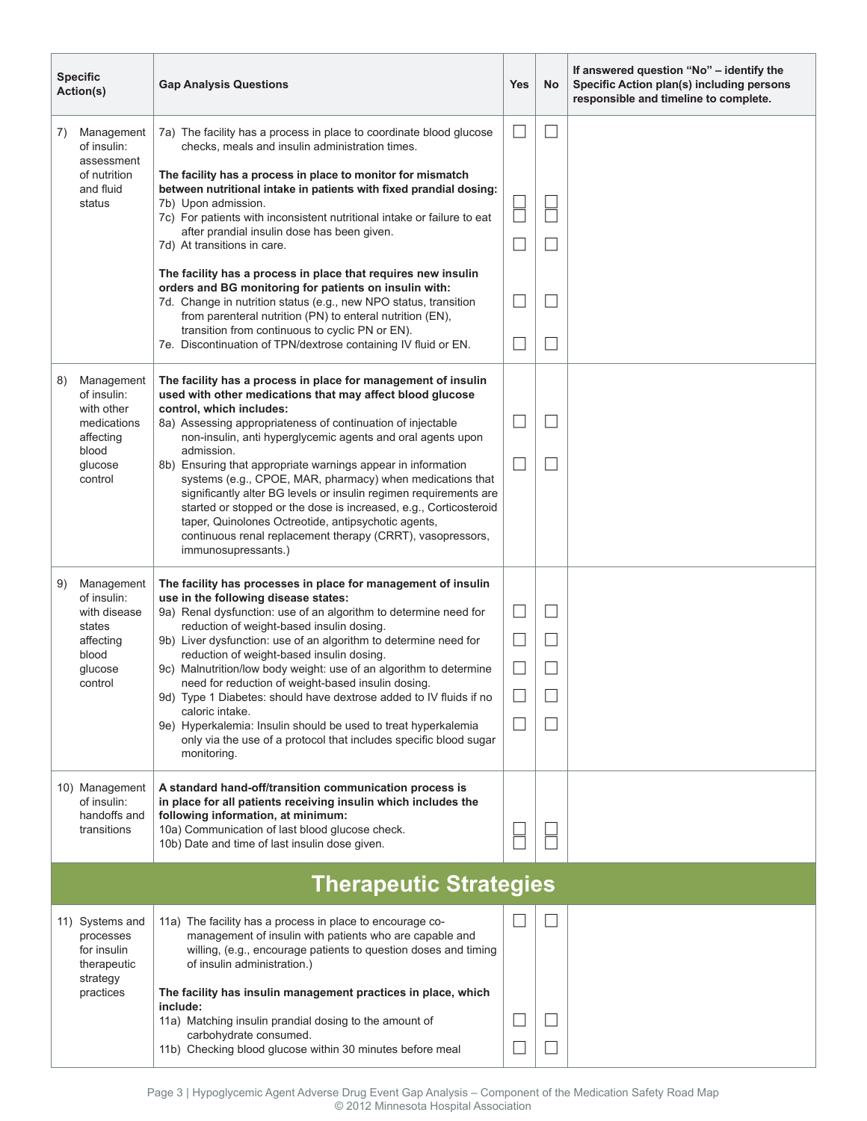| <b>Specific</b><br>Action(s)  |                                                                                                 | <b>Gap Analysis Questions</b>                                                                                                                                                                                                                                                                                                                                                                                                                                                                                                                                                                             | <b>Yes</b>        | No | If answered question "No" - identify the<br>Specific Action plan(s) including persons<br>responsible and timeline to complete. |
|-------------------------------|-------------------------------------------------------------------------------------------------|-----------------------------------------------------------------------------------------------------------------------------------------------------------------------------------------------------------------------------------------------------------------------------------------------------------------------------------------------------------------------------------------------------------------------------------------------------------------------------------------------------------------------------------------------------------------------------------------------------------|-------------------|----|--------------------------------------------------------------------------------------------------------------------------------|
| 7)                            | Management<br>of insulin:<br>assessment<br>of nutrition<br>and fluid<br>status                  | 7a) The facility has a process in place to coordinate blood glucose<br>checks, meals and insulin administration times.                                                                                                                                                                                                                                                                                                                                                                                                                                                                                    |                   |    |                                                                                                                                |
|                               |                                                                                                 | The facility has a process in place to monitor for mismatch<br>between nutritional intake in patients with fixed prandial dosing:<br>7b) Upon admission.<br>7c) For patients with inconsistent nutritional intake or failure to eat<br>after prandial insulin dose has been given.<br>7d) At transitions in care.                                                                                                                                                                                                                                                                                         |                   |    |                                                                                                                                |
|                               |                                                                                                 | The facility has a process in place that requires new insulin<br>orders and BG monitoring for patients on insulin with:<br>7d. Change in nutrition status (e.g., new NPO status, transition<br>from parenteral nutrition (PN) to enteral nutrition (EN),<br>transition from continuous to cyclic PN or EN).<br>7e. Discontinuation of TPN/dextrose containing IV fluid or EN.                                                                                                                                                                                                                             |                   |    |                                                                                                                                |
| 8)                            | Management<br>of insulin:                                                                       | The facility has a process in place for management of insulin<br>used with other medications that may affect blood glucose                                                                                                                                                                                                                                                                                                                                                                                                                                                                                |                   |    |                                                                                                                                |
|                               | with other<br>medications<br>affecting<br>blood<br>glucose<br>control                           | control, which includes:<br>8a) Assessing appropriateness of continuation of injectable<br>non-insulin, anti hyperglycemic agents and oral agents upon                                                                                                                                                                                                                                                                                                                                                                                                                                                    | $\vert \ \ \vert$ |    |                                                                                                                                |
|                               |                                                                                                 | admission.<br>8b) Ensuring that appropriate warnings appear in information<br>systems (e.g., CPOE, MAR, pharmacy) when medications that<br>significantly alter BG levels or insulin regimen requirements are<br>started or stopped or the dose is increased, e.g., Corticosteroid<br>taper, Quinolones Octreotide, antipsychotic agents,<br>continuous renal replacement therapy (CRRT), vasopressors,<br>immunosupressants.)                                                                                                                                                                             |                   |    |                                                                                                                                |
| 9)                            | Management<br>of insulin:<br>with disease<br>states<br>affecting<br>blood<br>glucose<br>control | The facility has processes in place for management of insulin<br>use in the following disease states:                                                                                                                                                                                                                                                                                                                                                                                                                                                                                                     |                   |    |                                                                                                                                |
|                               |                                                                                                 | 9a) Renal dysfunction: use of an algorithm to determine need for<br>reduction of weight-based insulin dosing.<br>9b) Liver dysfunction: use of an algorithm to determine need for<br>reduction of weight-based insulin dosing.<br>9c) Malnutrition/low body weight: use of an algorithm to determine<br>need for reduction of weight-based insulin dosing.<br>9d) Type 1 Diabetes: should have dextrose added to IV fluids if no<br>caloric intake.<br>9e) Hyperkalemia: Insulin should be used to treat hyperkalemia<br>only via the use of a protocol that includes specific blood sugar<br>monitoring. |                   |    |                                                                                                                                |
|                               |                                                                                                 |                                                                                                                                                                                                                                                                                                                                                                                                                                                                                                                                                                                                           |                   |    |                                                                                                                                |
|                               |                                                                                                 |                                                                                                                                                                                                                                                                                                                                                                                                                                                                                                                                                                                                           |                   |    |                                                                                                                                |
|                               |                                                                                                 |                                                                                                                                                                                                                                                                                                                                                                                                                                                                                                                                                                                                           |                   |    |                                                                                                                                |
|                               | 10) Management<br>of insulin:<br>handoffs and<br>transitions                                    | A standard hand-off/transition communication process is<br>in place for all patients receiving insulin which includes the<br>following information, at minimum:<br>10a) Communication of last blood glucose check.                                                                                                                                                                                                                                                                                                                                                                                        |                   |    |                                                                                                                                |
|                               |                                                                                                 | 10b) Date and time of last insulin dose given.                                                                                                                                                                                                                                                                                                                                                                                                                                                                                                                                                            |                   |    |                                                                                                                                |
| <b>Therapeutic Strategies</b> |                                                                                                 |                                                                                                                                                                                                                                                                                                                                                                                                                                                                                                                                                                                                           |                   |    |                                                                                                                                |
|                               | 11) Systems and<br>processes<br>for insulin<br>therapeutic<br>strategy                          | 11a) The facility has a process in place to encourage co-<br>management of insulin with patients who are capable and<br>willing, (e.g., encourage patients to question doses and timing<br>of insulin administration.)                                                                                                                                                                                                                                                                                                                                                                                    |                   |    |                                                                                                                                |
|                               | practices                                                                                       | The facility has insulin management practices in place, which<br>include:                                                                                                                                                                                                                                                                                                                                                                                                                                                                                                                                 |                   |    |                                                                                                                                |
|                               |                                                                                                 | 11a) Matching insulin prandial dosing to the amount of<br>carbohydrate consumed.<br>11b) Checking blood glucose within 30 minutes before meal                                                                                                                                                                                                                                                                                                                                                                                                                                                             |                   |    |                                                                                                                                |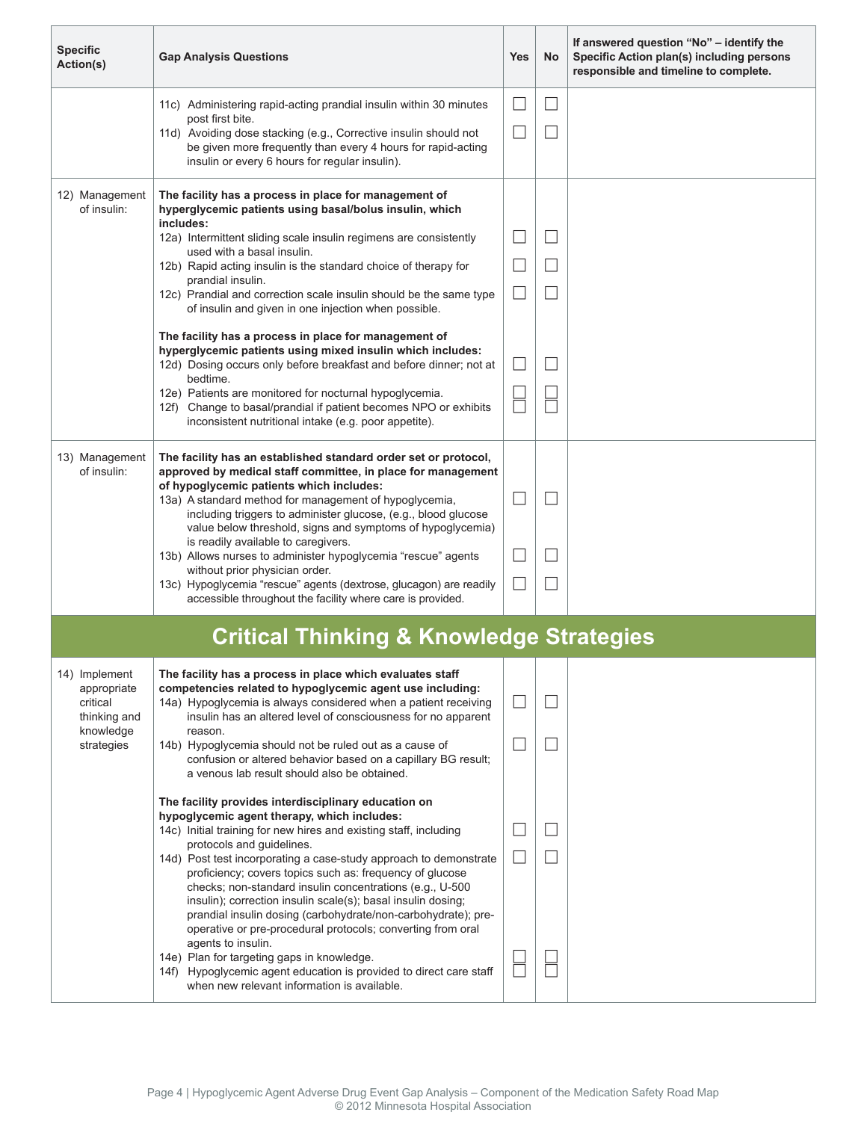| <b>Specific</b><br>Action(s)                                                        | <b>Gap Analysis Questions</b>                                                                                                                                                                                                                                                                                                                                                                                                                                                                                                                                                                                                                                                                                                                                                               | <b>Yes</b>        | No | If answered question "No" – identify the<br>Specific Action plan(s) including persons<br>responsible and timeline to complete. |  |  |
|-------------------------------------------------------------------------------------|---------------------------------------------------------------------------------------------------------------------------------------------------------------------------------------------------------------------------------------------------------------------------------------------------------------------------------------------------------------------------------------------------------------------------------------------------------------------------------------------------------------------------------------------------------------------------------------------------------------------------------------------------------------------------------------------------------------------------------------------------------------------------------------------|-------------------|----|--------------------------------------------------------------------------------------------------------------------------------|--|--|
|                                                                                     | 11c) Administering rapid-acting prandial insulin within 30 minutes<br>post first bite.                                                                                                                                                                                                                                                                                                                                                                                                                                                                                                                                                                                                                                                                                                      | $\vert \ \ \vert$ |    |                                                                                                                                |  |  |
|                                                                                     | 11d) Avoiding dose stacking (e.g., Corrective insulin should not<br>be given more frequently than every 4 hours for rapid-acting<br>insulin or every 6 hours for regular insulin).                                                                                                                                                                                                                                                                                                                                                                                                                                                                                                                                                                                                          |                   |    |                                                                                                                                |  |  |
| 12) Management<br>of insulin:                                                       | The facility has a process in place for management of<br>hyperglycemic patients using basal/bolus insulin, which<br>includes:                                                                                                                                                                                                                                                                                                                                                                                                                                                                                                                                                                                                                                                               |                   |    |                                                                                                                                |  |  |
|                                                                                     | 12a) Intermittent sliding scale insulin regimens are consistently<br>used with a basal insulin.                                                                                                                                                                                                                                                                                                                                                                                                                                                                                                                                                                                                                                                                                             |                   |    |                                                                                                                                |  |  |
|                                                                                     | 12b) Rapid acting insulin is the standard choice of therapy for<br>prandial insulin.                                                                                                                                                                                                                                                                                                                                                                                                                                                                                                                                                                                                                                                                                                        |                   |    |                                                                                                                                |  |  |
|                                                                                     | 12c) Prandial and correction scale insulin should be the same type<br>of insulin and given in one injection when possible.                                                                                                                                                                                                                                                                                                                                                                                                                                                                                                                                                                                                                                                                  |                   |    |                                                                                                                                |  |  |
|                                                                                     | The facility has a process in place for management of<br>hyperglycemic patients using mixed insulin which includes:<br>12d) Dosing occurs only before breakfast and before dinner; not at<br>bedtime.<br>12e) Patients are monitored for nocturnal hypoglycemia.<br>12f) Change to basal/prandial if patient becomes NPO or exhibits<br>inconsistent nutritional intake (e.g. poor appetite).                                                                                                                                                                                                                                                                                                                                                                                               |                   |    |                                                                                                                                |  |  |
| 13) Management<br>of insulin:                                                       | The facility has an established standard order set or protocol,<br>approved by medical staff committee, in place for management<br>of hypoglycemic patients which includes:<br>13a) A standard method for management of hypoglycemia,<br>including triggers to administer glucose, (e.g., blood glucose<br>value below threshold, signs and symptoms of hypoglycemia)                                                                                                                                                                                                                                                                                                                                                                                                                       | $\Box$            |    |                                                                                                                                |  |  |
|                                                                                     | is readily available to caregivers.<br>13b) Allows nurses to administer hypoglycemia "rescue" agents                                                                                                                                                                                                                                                                                                                                                                                                                                                                                                                                                                                                                                                                                        |                   |    |                                                                                                                                |  |  |
|                                                                                     | without prior physician order.<br>13c) Hypoglycemia "rescue" agents (dextrose, glucagon) are readily<br>accessible throughout the facility where care is provided.                                                                                                                                                                                                                                                                                                                                                                                                                                                                                                                                                                                                                          |                   |    |                                                                                                                                |  |  |
| <b>Critical Thinking &amp; Knowledge Strategies</b>                                 |                                                                                                                                                                                                                                                                                                                                                                                                                                                                                                                                                                                                                                                                                                                                                                                             |                   |    |                                                                                                                                |  |  |
| 14) Implement<br>appropriate<br>critical<br>thinking and<br>knowledge<br>strategies | The facility has a process in place which evaluates staff<br>competencies related to hypoglycemic agent use including:<br>14a) Hypoglycemia is always considered when a patient receiving<br>insulin has an altered level of consciousness for no apparent<br>reason.<br>14b) Hypoglycemia should not be ruled out as a cause of<br>confusion or altered behavior based on a capillary BG result;<br>a venous lab result should also be obtained.                                                                                                                                                                                                                                                                                                                                           |                   |    |                                                                                                                                |  |  |
|                                                                                     | The facility provides interdisciplinary education on<br>hypoglycemic agent therapy, which includes:<br>14c) Initial training for new hires and existing staff, including<br>protocols and guidelines.<br>14d) Post test incorporating a case-study approach to demonstrate<br>proficiency; covers topics such as: frequency of glucose<br>checks; non-standard insulin concentrations (e.g., U-500<br>insulin); correction insulin scale(s); basal insulin dosing;<br>prandial insulin dosing (carbohydrate/non-carbohydrate); pre-<br>operative or pre-procedural protocols; converting from oral<br>agents to insulin.<br>14e) Plan for targeting gaps in knowledge.<br>14f) Hypoglycemic agent education is provided to direct care staff<br>when new relevant information is available. |                   |    |                                                                                                                                |  |  |